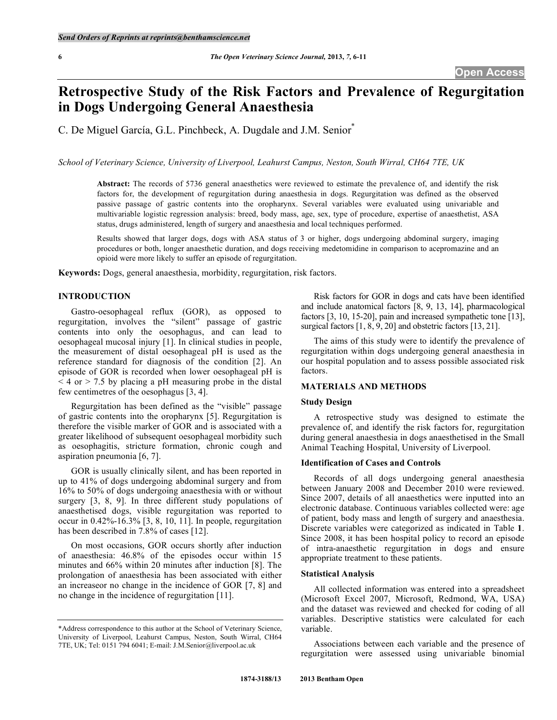# **Retrospective Study of the Risk Factors and Prevalence of Regurgitation in Dogs Undergoing General Anaesthesia**

C. De Miguel García, G.L. Pinchbeck, A. Dugdale and J.M. Senior\*

*School of Veterinary Science, University of Liverpool, Leahurst Campus, Neston, South Wirral, CH64 7TE, UK* 

**Abstract:** The records of 5736 general anaesthetics were reviewed to estimate the prevalence of, and identify the risk factors for, the development of regurgitation during anaesthesia in dogs. Regurgitation was defined as the observed passive passage of gastric contents into the oropharynx. Several variables were evaluated using univariable and multivariable logistic regression analysis: breed, body mass, age, sex, type of procedure, expertise of anaesthetist, ASA status, drugs administered, length of surgery and anaesthesia and local techniques performed.

Results showed that larger dogs, dogs with ASA status of 3 or higher, dogs undergoing abdominal surgery, imaging procedures or both, longer anaesthetic duration, and dogs receiving medetomidine in comparison to acepromazine and an opioid were more likely to suffer an episode of regurgitation.

**Keywords:** Dogs, general anaesthesia, morbidity, regurgitation, risk factors.

## **INTRODUCTION**

 Gastro-oesophageal reflux (GOR), as opposed to regurgitation, involves the "silent" passage of gastric contents into only the oesophagus, and can lead to oesophageal mucosal injury [1]. In clinical studies in people, the measurement of distal oesophageal pH is used as the reference standard for diagnosis of the condition [2]. An episode of GOR is recorded when lower oesophageal pH is  $<$  4 or  $>$  7.5 by placing a pH measuring probe in the distal few centimetres of the oesophagus [3, 4].

 Regurgitation has been defined as the "visible" passage of gastric contents into the oropharynx [5]. Regurgitation is therefore the visible marker of GOR and is associated with a greater likelihood of subsequent oesophageal morbidity such as oesophagitis, stricture formation, chronic cough and aspiration pneumonia [6, 7].

 GOR is usually clinically silent, and has been reported in up to 41% of dogs undergoing abdominal surgery and from 16% to 50% of dogs undergoing anaesthesia with or without surgery [3, 8, 9]. In three different study populations of anaesthetised dogs, visible regurgitation was reported to occur in 0.42%-16.3% [3, 8, 10, 11]. In people, regurgitation has been described in 7.8% of cases [12].

 On most occasions, GOR occurs shortly after induction of anaesthesia: 46.8% of the episodes occur within 15 minutes and 66% within 20 minutes after induction [8]. The prolongation of anaesthesia has been associated with either an increaseor no change in the incidence of GOR [7, 8] and no change in the incidence of regurgitation [11].

 Risk factors for GOR in dogs and cats have been identified and include anatomical factors [8, 9, 13, 14], pharmacological factors [3, 10, 15-20], pain and increased sympathetic tone [13], surgical factors  $[1, 8, 9, 20]$  and obstetric factors  $[13, 21]$ .

 The aims of this study were to identify the prevalence of regurgitation within dogs undergoing general anaesthesia in our hospital population and to assess possible associated risk factors.

## **MATERIALS AND METHODS**

#### **Study Design**

 A retrospective study was designed to estimate the prevalence of, and identify the risk factors for, regurgitation during general anaesthesia in dogs anaesthetised in the Small Animal Teaching Hospital, University of Liverpool.

#### **Identification of Cases and Controls**

 Records of all dogs undergoing general anaesthesia between January 2008 and December 2010 were reviewed. Since 2007, details of all anaesthetics were inputted into an electronic database. Continuous variables collected were: age of patient, body mass and length of surgery and anaesthesia. Discrete variables were categorized as indicated in Table **1**. Since 2008, it has been hospital policy to record an episode of intra-anaesthetic regurgitation in dogs and ensure appropriate treatment to these patients.

## **Statistical Analysis**

 All collected information was entered into a spreadsheet (Microsoft Excel 2007, Microsoft, Redmond, WA, USA) and the dataset was reviewed and checked for coding of all variables. Descriptive statistics were calculated for each variable.

 Associations between each variable and the presence of regurgitation were assessed using univariable binomial

<sup>\*</sup>Address correspondence to this author at the School of Veterinary Science, University of Liverpool, Leahurst Campus, Neston, South Wirral, CH64 7TE, UK; Tel: 0151 794 6041; E-mail: J.M.Senior@liverpool.ac.uk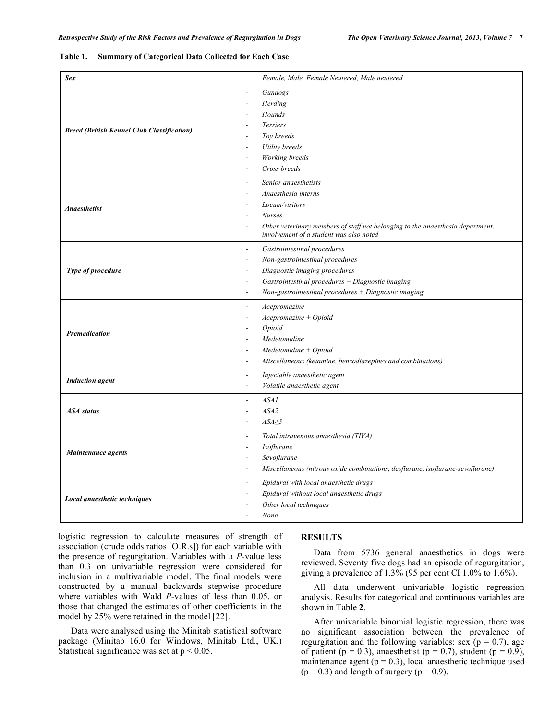#### **Table 1. Summary of Categorical Data Collected for Each Case**

| <b>Sex</b>                                        | Female, Male, Female Neutered, Male neutered                                                                                                                                                                                                                      |  |  |
|---------------------------------------------------|-------------------------------------------------------------------------------------------------------------------------------------------------------------------------------------------------------------------------------------------------------------------|--|--|
| <b>Breed (British Kennel Club Classification)</b> | Gundogs<br>Herding<br>Hounds<br>Terriers<br>Toy breeds<br>Utility breeds<br>Working breeds<br>Cross breeds                                                                                                                                                        |  |  |
| <b>Anaesthetist</b>                               | Senior anaesthetists<br>÷.<br>Anaesthesia interns<br>Locum/visitors<br><b>Nurses</b><br>Other veterinary members of staff not belonging to the anaesthesia department,<br>involvement of a student was also noted                                                 |  |  |
| Type of procedure                                 | Gastrointestinal procedures<br>$\overline{\phantom{a}}$<br>Non-gastrointestinal procedures<br>Diagnostic imaging procedures<br>Gastrointestinal procedures $+$ Diagnostic imaging<br>$\overline{a}$<br>Non-gastrointestinal procedures + Diagnostic imaging<br>÷, |  |  |
| <b>Premedication</b>                              | Acepromazine<br>$\blacksquare$<br>$Acepromazine + Oploid$<br>Opioid<br>Medetomidine<br>$Medetomidine + Oploid$<br>Miscellaneous (ketamine, benzodiazepines and combinations)                                                                                      |  |  |
| <b>Induction</b> agent                            | Injectable anaesthetic agent<br>$\sim$<br>Volatile anaesthetic agent<br>$\sim$                                                                                                                                                                                    |  |  |
| <b>ASA</b> status                                 | ASAI<br>$\overline{\phantom{a}}$<br>ASA2<br>$ASA \geq 3$                                                                                                                                                                                                          |  |  |
| Maintenance agents                                | Total intravenous anaesthesia (TIVA)<br>$\blacksquare$<br>Isoflurane<br>$\overline{a}$<br>Sevoflurane<br>Miscellaneous (nitrous oxide combinations, desflurane, isoflurane-sevoflurane)                                                                           |  |  |
| Local anaesthetic techniques                      | Epidural with local anaesthetic drugs<br>$\overline{a}$<br>Epidural without local anaesthetic drugs<br>Other local techniques<br>None                                                                                                                             |  |  |

logistic regression to calculate measures of strength of association (crude odds ratios [O.R.s]) for each variable with the presence of regurgitation. Variables with a *P*-value less than 0.3 on univariable regression were considered for inclusion in a multivariable model. The final models were constructed by a manual backwards stepwise procedure where variables with Wald *P*-values of less than 0.05, or those that changed the estimates of other coefficients in the model by 25% were retained in the model [22].

 Data were analysed using the Minitab statistical software package (Minitab 16.0 for Windows, Minitab Ltd., UK.) Statistical significance was set at  $p < 0.05$ .

# **RESULTS**

 Data from 5736 general anaesthetics in dogs were reviewed. Seventy five dogs had an episode of regurgitation, giving a prevalence of 1.3% (95 per cent CI 1.0% to 1.6%).

 All data underwent univariable logistic regression analysis. Results for categorical and continuous variables are shown in Table **2**.

 After univariable binomial logistic regression, there was no significant association between the prevalence of regurgitation and the following variables: sex ( $p = 0.7$ ), age of patient ( $p = 0.3$ ), anaesthetist ( $p = 0.7$ ), student ( $p = 0.9$ ), maintenance agent  $(p = 0.3)$ , local anaesthetic technique used  $(p = 0.3)$  and length of surgery  $(p = 0.9)$ .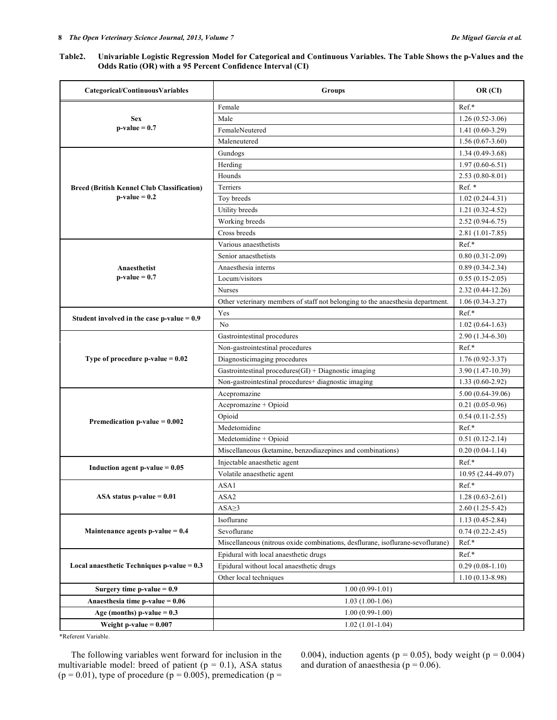## **Table2. Univariable Logistic Regression Model for Categorical and Continuous Variables. The Table Shows the p-Values and the Odds Ratio (OR) with a 95 Percent Confidence Interval (CI)**

| Categorical/ContinuousVariables                                      | Groups                                                                         | OR (CI)              |  |
|----------------------------------------------------------------------|--------------------------------------------------------------------------------|----------------------|--|
|                                                                      | Female                                                                         | Ref.*                |  |
| <b>Sex</b><br>$p-value = 0.7$                                        | Male                                                                           | $1.26(0.52-3.06)$    |  |
|                                                                      | FemaleNeutered                                                                 | $1.41(0.60-3.29)$    |  |
|                                                                      | Maleneutered                                                                   | $1.56(0.67-3.60)$    |  |
|                                                                      | Gundogs                                                                        | $1.34(0.49-3.68)$    |  |
| <b>Breed (British Kennel Club Classification)</b><br>$p-value = 0.2$ | Herding                                                                        | $1.97(0.60-6.51)$    |  |
|                                                                      | Hounds                                                                         | $2.53(0.80 - 8.01)$  |  |
|                                                                      | Terriers                                                                       | Ref. *               |  |
|                                                                      | Toy breeds                                                                     | $1.02(0.24-4.31)$    |  |
|                                                                      | Utility breeds                                                                 | $1.21(0.32 - 4.52)$  |  |
|                                                                      | Working breeds                                                                 | $2.52(0.94-6.75)$    |  |
|                                                                      | Cross breeds                                                                   | $2.81(1.01 - 7.85)$  |  |
|                                                                      | Various anaesthetists                                                          | Ref.*                |  |
| Anaesthetist                                                         | Senior anaesthetists                                                           | $0.80(0.31-2.09)$    |  |
|                                                                      | Anaesthesia interns                                                            | $0.89(0.34-2.34)$    |  |
| $p-value = 0.7$                                                      | Locum/visitors                                                                 | $0.55(0.15-2.05)$    |  |
|                                                                      | Nurses                                                                         | $2.32(0.44 - 12.26)$ |  |
|                                                                      | Other veterinary members of staff not belonging to the anaesthesia department. | $1.06(0.34-3.27)$    |  |
| Student involved in the case $p$ -value = 0.9                        | Yes                                                                            | Ref.*                |  |
|                                                                      | N <sub>0</sub>                                                                 | $1.02(0.64-1.63)$    |  |
|                                                                      | Gastrointestinal procedures                                                    | $2.90(1.34-6.30)$    |  |
| Type of procedure $p$ -value = 0.02                                  | Non-gastrointestinal procedures                                                | $Ref.*$              |  |
|                                                                      | Diagnosticimaging procedures                                                   | $1.76(0.92 - 3.37)$  |  |
|                                                                      | Gastrointestinal procedures(GI) + Diagnostic imaging                           | 3.90 (1.47-10.39)    |  |
|                                                                      | Non-gastrointestinal procedures+ diagnostic imaging                            | $1.33(0.60-2.92)$    |  |
|                                                                      | Acepromazine                                                                   | $5.00(0.64-39.06)$   |  |
|                                                                      | Acepromazine + Opioid                                                          | $0.21(0.05-0.96)$    |  |
| Premedication p-value $= 0.002$                                      | Opioid                                                                         | $0.54(0.11-2.55)$    |  |
|                                                                      | Medetomidine                                                                   | Ref.*                |  |
|                                                                      | Medetomidine + Opioid                                                          | $0.51(0.12-2.14)$    |  |
|                                                                      | Miscellaneous (ketamine, benzodiazepines and combinations)                     | $0.20(0.04-1.14)$    |  |
| Induction agent p-value $= 0.05$                                     | Injectable anaesthetic agent                                                   | $Ref.*$              |  |
|                                                                      | Volatile anaesthetic agent                                                     | 10.95 (2.44-49.07)   |  |
| ASA status p-value $= 0.01$                                          | ASA1                                                                           | Ref.*                |  |
|                                                                      | ASA2                                                                           | $1.28(0.63 - 2.61)$  |  |
|                                                                      | $ASA \geq 3$                                                                   | $2.60(1.25-5.42)$    |  |
| Maintenance agents p-value $= 0.4$                                   | Isoflurane                                                                     | $1.13(0.45-2.84)$    |  |
|                                                                      | Sevoflurane                                                                    | $0.74(0.22 - 2.45)$  |  |
|                                                                      | Miscellaneous (nitrous oxide combinations, desflurane, isoflurane-sevoflurane) | $Ref.*$              |  |
| Local anaesthetic Techniques $p$ -value = 0.3                        | Epidural with local anaesthetic drugs                                          | Ref.*                |  |
|                                                                      | Epidural without local anaesthetic drugs                                       | $0.29(0.08-1.10)$    |  |
|                                                                      | Other local techniques                                                         | $1.10(0.13 - 8.98)$  |  |
| Surgery time $p$ -value = 0.9                                        | $1.00(0.99-1.01)$                                                              |                      |  |
| Anaesthesia time $p$ -value = 0.06                                   | $1.03(1.00-1.06)$                                                              |                      |  |
| Age (months) $p-value = 0.3$                                         | $1.00(0.99-1.00)$                                                              |                      |  |
| Weight p-value $= 0.007$                                             | $1.02(1.01-1.04)$                                                              |                      |  |

\*Referent Variable.

 The following variables went forward for inclusion in the multivariable model: breed of patient ( $p = 0.1$ ), ASA status  $(p = 0.01)$ , type of procedure  $(p = 0.005)$ , premedication  $(p = 0.01)$ 

0.004), induction agents ( $p = 0.05$ ), body weight ( $p = 0.004$ ) and duration of anaesthesia ( $p = 0.06$ ).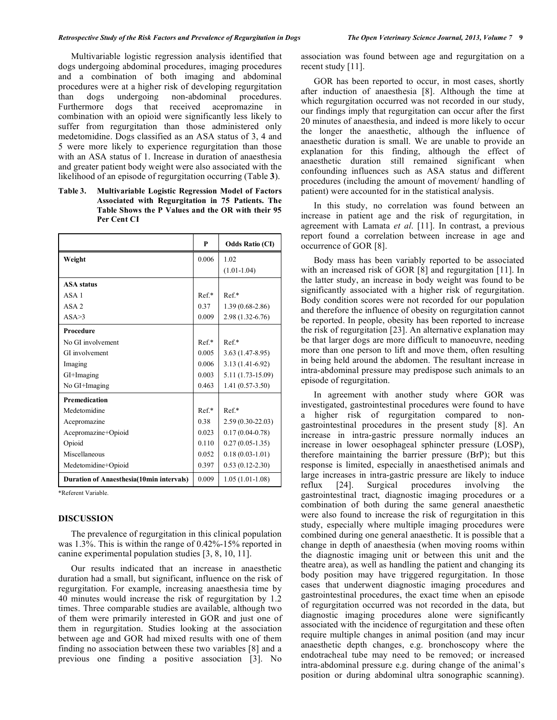Multivariable logistic regression analysis identified that dogs undergoing abdominal procedures, imaging procedures and a combination of both imaging and abdominal procedures were at a higher risk of developing regurgitation than dogs undergoing non-abdominal procedures. Furthermore dogs that received acepromazine in combination with an opioid were significantly less likely to suffer from regurgitation than those administered only medetomidine. Dogs classified as an ASA status of 3, 4 and 5 were more likely to experience regurgitation than those with an ASA status of 1. Increase in duration of anaesthesia and greater patient body weight were also associated with the likelihood of an episode of regurgitation occurring (Table **3**).

**Table 3. Multivariable Logistic Regression Model of Factors Associated with Regurgitation in 75 Patients. The Table Shows the P Values and the OR with their 95 Per Cent CI** 

|                                                 | P      | <b>Odds Ratio (CI)</b> |
|-------------------------------------------------|--------|------------------------|
| Weight                                          | 0.006  | 1.02                   |
|                                                 |        | $(1.01 - 1.04)$        |
| <b>ASA</b> status                               |        |                        |
| ASA 1                                           | $Ref*$ | $Ref*$                 |
| $ASA$ 2                                         | 0.37   | $1.39(0.68-2.86)$      |
| ASA > 3                                         | 0.009  | 2.98 (1.32-6.76)       |
| <b>Procedure</b>                                |        |                        |
| No GI involvement                               | $Ref*$ | $Ref*$                 |
| GI involvement                                  | 0.005  | $3.63(1.47 - 8.95)$    |
| Imaging                                         | 0.006  | $3.13(1.41-6.92)$      |
| GI+Imaging                                      | 0.003  | 5.11 (1.73-15.09)      |
| No GI+Imaging                                   | 0.463  | $1.41(0.57-3.50)$      |
| <b>Premedication</b>                            |        |                        |
| Medetomidine                                    | $Ref*$ | $Ref*$                 |
| Acepromazine                                    | 0.38   | $2.59(0.30-22.03)$     |
| Acepromazine+Opioid                             | 0.023  | $0.17(0.04-0.78)$      |
| Opioid                                          | 0.110  | $0.27(0.05-1.35)$      |
| Miscellaneous                                   | 0.052  | $0.18(0.03-1.01)$      |
| Medetomidine+Opioid                             | 0.397  | $0.53(0.12-2.30)$      |
| <b>Duration of Anaesthesia(10min intervals)</b> | 0.009  | $1.05(1.01-1.08)$      |

\*Referent Variable.

## **DISCUSSION**

 The prevalence of regurgitation in this clinical population was 1.3%. This is within the range of 0.42%-15% reported in canine experimental population studies [3, 8, 10, 11].

 Our results indicated that an increase in anaesthetic duration had a small, but significant, influence on the risk of regurgitation. For example, increasing anaesthesia time by 40 minutes would increase the risk of regurgitation by 1.2 times. Three comparable studies are available, although two of them were primarily interested in GOR and just one of them in regurgitation. Studies looking at the association between age and GOR had mixed results with one of them finding no association between these two variables [8] and a previous one finding a positive association [3]. No

association was found between age and regurgitation on a recent study [11].

 GOR has been reported to occur, in most cases, shortly after induction of anaesthesia [8]. Although the time at which regurgitation occurred was not recorded in our study, our findings imply that regurgitation can occur after the first 20 minutes of anaesthesia, and indeed is more likely to occur the longer the anaesthetic, although the influence of anaesthetic duration is small. We are unable to provide an explanation for this finding, although the effect of anaesthetic duration still remained significant when confounding influences such as ASA status and different procedures (including the amount of movement/ handling of patient) were accounted for in the statistical analysis.

 In this study, no correlation was found between an increase in patient age and the risk of regurgitation, in agreement with Lamata *et al*. [11]. In contrast, a previous report found a correlation between increase in age and occurrence of GOR [8].

 Body mass has been variably reported to be associated with an increased risk of GOR [8] and regurgitation [11]. In the latter study, an increase in body weight was found to be significantly associated with a higher risk of regurgitation. Body condition scores were not recorded for our population and therefore the influence of obesity on regurgitation cannot be reported. In people, obesity has been reported to increase the risk of regurgitation [23]. An alternative explanation may be that larger dogs are more difficult to manoeuvre, needing more than one person to lift and move them, often resulting in being held around the abdomen. The resultant increase in intra-abdominal pressure may predispose such animals to an episode of regurgitation.

 In agreement with another study where GOR was investigated, gastrointestinal procedures were found to have a higher risk of regurgitation compared to nongastrointestinal procedures in the present study [8]. An increase in intra-gastric pressure normally induces an increase in lower oesophageal sphincter pressure (LOSP), therefore maintaining the barrier pressure (BrP); but this response is limited, especially in anaesthetised animals and large increases in intra-gastric pressure are likely to induce reflux [24]. Surgical procedures involving the gastrointestinal tract, diagnostic imaging procedures or a combination of both during the same general anaesthetic were also found to increase the risk of regurgitation in this study, especially where multiple imaging procedures were combined during one general anaesthetic. It is possible that a change in depth of anaesthesia (when moving rooms within the diagnostic imaging unit or between this unit and the theatre area), as well as handling the patient and changing its body position may have triggered regurgitation. In those cases that underwent diagnostic imaging procedures and gastrointestinal procedures, the exact time when an episode of regurgitation occurred was not recorded in the data, but diagnostic imaging procedures alone were significantly associated with the incidence of regurgitation and these often require multiple changes in animal position (and may incur anaesthetic depth changes, e.g. bronchoscopy where the endotracheal tube may need to be removed; or increased intra-abdominal pressure e.g. during change of the animal's position or during abdominal ultra sonographic scanning).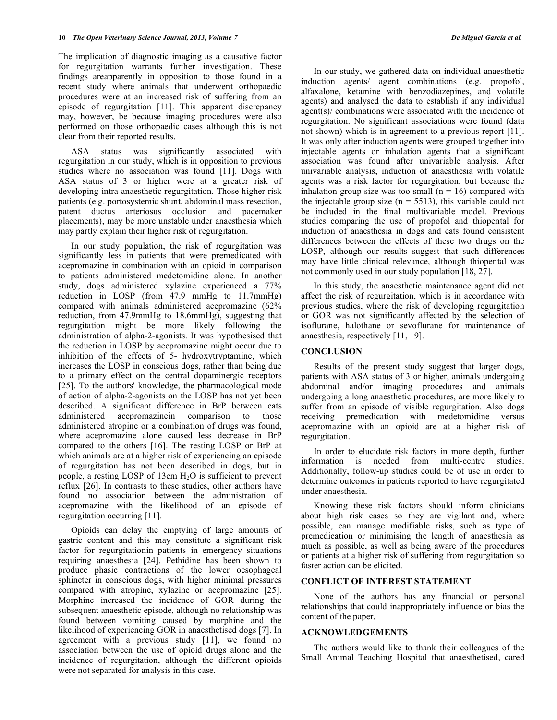The implication of diagnostic imaging as a causative factor for regurgitation warrants further investigation. These findings areapparently in opposition to those found in a recent study where animals that underwent orthopaedic procedures were at an increased risk of suffering from an episode of regurgitation [11]. This apparent discrepancy may, however, be because imaging procedures were also performed on those orthopaedic cases although this is not clear from their reported results.

 ASA status was significantly associated with regurgitation in our study, which is in opposition to previous studies where no association was found [11]. Dogs with ASA status of 3 or higher were at a greater risk of developing intra-anaesthetic regurgitation. Those higher risk patients (e.g. portosystemic shunt, abdominal mass resection, patent ductus arteriosus occlusion and pacemaker placements), may be more unstable under anaesthesia which may partly explain their higher risk of regurgitation.

 In our study population, the risk of regurgitation was significantly less in patients that were premedicated with acepromazine in combination with an opioid in comparison to patients administered medetomidine alone. In another study, dogs administered xylazine experienced a 77% reduction in LOSP (from 47.9 mmHg to 11.7mmHg) compared with animals administered acepromazine (62% reduction, from 47.9mmHg to 18.6mmHg), suggesting that regurgitation might be more likely following the administration of alpha-2-agonists. It was hypothesised that the reduction in LOSP by acepromazine might occur due to inhibition of the effects of 5- hydroxytryptamine, which increases the LOSP in conscious dogs, rather than being due to a primary effect on the central dopaminergic receptors [25]. To the authors' knowledge, the pharmacological mode of action of alpha-2-agonists on the LOSP has not yet been described. A significant difference in BrP between cats administered acepromazinein comparison to those administered atropine or a combination of drugs was found, where acepromazine alone caused less decrease in BrP compared to the others [16]. The resting LOSP or BrP at which animals are at a higher risk of experiencing an episode of regurgitation has not been described in dogs, but in people, a resting LOSP of 13cm H2O is sufficient to prevent reflux [26]. In contrasts to these studies, other authors have found no association between the administration of acepromazine with the likelihood of an episode of regurgitation occurring [11].

 Opioids can delay the emptying of large amounts of gastric content and this may constitute a significant risk factor for regurgitationin patients in emergency situations requiring anaesthesia [24]. Pethidine has been shown to produce phasic contractions of the lower oesophageal sphincter in conscious dogs, with higher minimal pressures compared with atropine, xylazine or acepromazine [25]. Morphine increased the incidence of GOR during the subsequent anaesthetic episode, although no relationship was found between vomiting caused by morphine and the likelihood of experiencing GOR in anaesthetised dogs [7]. In agreement with a previous study [11], we found no association between the use of opioid drugs alone and the incidence of regurgitation, although the different opioids were not separated for analysis in this case.

 In our study, we gathered data on individual anaesthetic induction agents/ agent combinations (e.g. propofol, alfaxalone, ketamine with benzodiazepines, and volatile agents) and analysed the data to establish if any individual agent(s)/ combinations were associated with the incidence of regurgitation. No significant associations were found (data not shown) which is in agreement to a previous report [11]. It was only after induction agents were grouped together into injectable agents or inhalation agents that a significant association was found after univariable analysis. After univariable analysis, induction of anaesthesia with volatile agents was a risk factor for regurgitation, but because the inhalation group size was too small ( $n = 16$ ) compared with the injectable group size ( $n = 5513$ ), this variable could not be included in the final multivariable model. Previous studies comparing the use of propofol and thiopental for induction of anaesthesia in dogs and cats found consistent differences between the effects of these two drugs on the LOSP, although our results suggest that such differences may have little clinical relevance, although thiopental was not commonly used in our study population [18, 27].

 In this study, the anaesthetic maintenance agent did not affect the risk of regurgitation, which is in accordance with previous studies, where the risk of developing regurgitation or GOR was not significantly affected by the selection of isoflurane, halothane or sevoflurane for maintenance of anaesthesia, respectively [11, 19].

## **CONCLUSION**

 Results of the present study suggest that larger dogs, patients with ASA status of 3 or higher, animals undergoing abdominal and/or imaging procedures and animals undergoing a long anaesthetic procedures, are more likely to suffer from an episode of visible regurgitation. Also dogs receiving premedication with medetomidine versus acepromazine with an opioid are at a higher risk of regurgitation.

 In order to elucidate risk factors in more depth, further information is needed from multi-centre studies. Additionally, follow-up studies could be of use in order to determine outcomes in patients reported to have regurgitated under anaesthesia.

 Knowing these risk factors should inform clinicians about high risk cases so they are vigilant and, where possible, can manage modifiable risks, such as type of premedication or minimising the length of anaesthesia as much as possible, as well as being aware of the procedures or patients at a higher risk of suffering from regurgitation so faster action can be elicited.

# **CONFLICT OF INTEREST STATEMENT**

 None of the authors has any financial or personal relationships that could inappropriately influence or bias the content of the paper.

## **ACKNOWLEDGEMENTS**

 The authors would like to thank their colleagues of the Small Animal Teaching Hospital that anaesthetised, cared